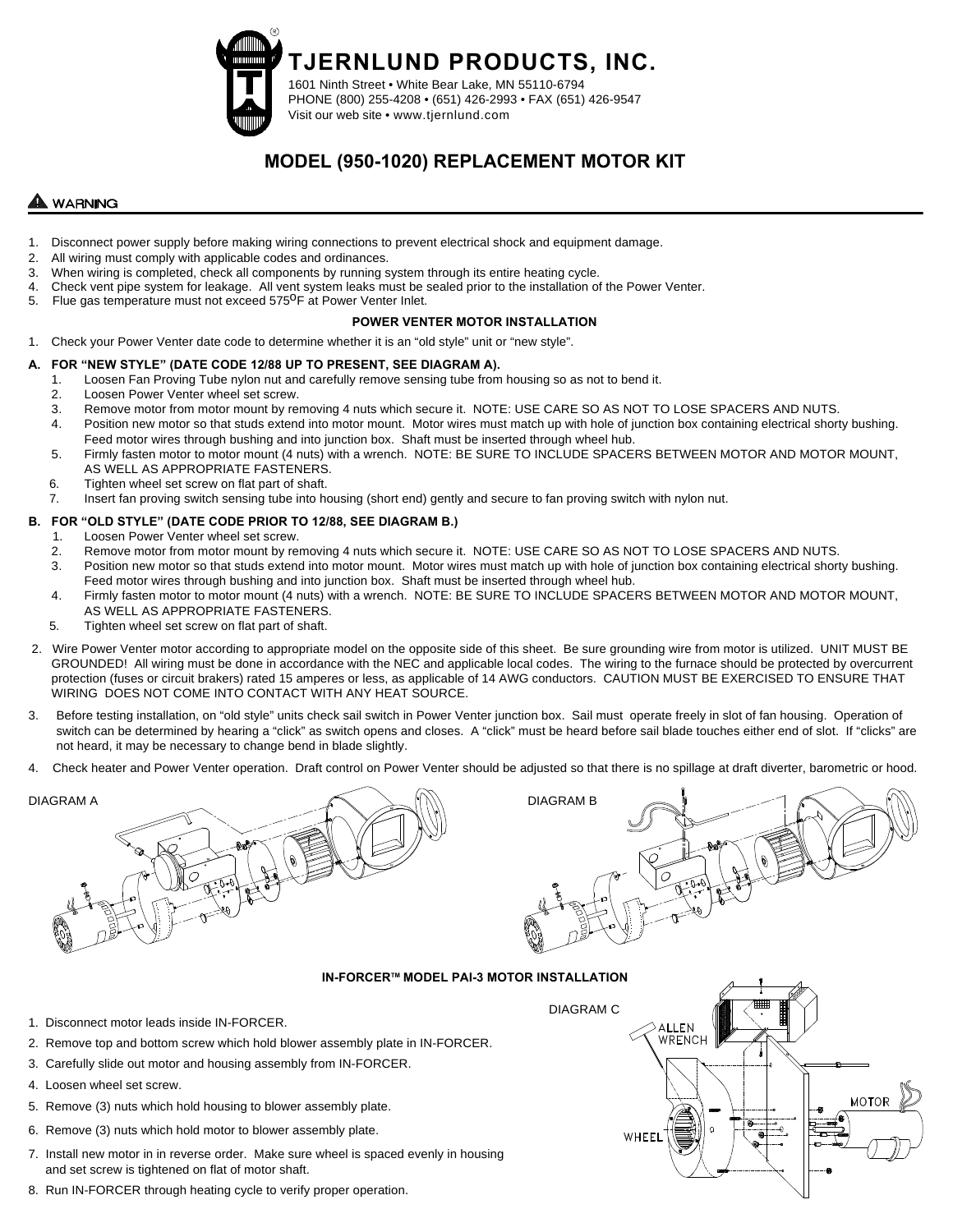**TJERNLUND PRODUCTS, INC.**

1601 Ninth Street • White Bear Lake, MN 55110-6794 PHONE (800) 255-4208 • (651) 426-2993 • FAX (651) 426-9547 Visit our web site • www.tjernlund.com

# **MODEL (950-1020) REPLACEMENT MOTOR KIT**

## **WARNING**

- 1. Disconnect power supply before making wiring connections to prevent electrical shock and equipment damage.
- 2. All wiring must comply with applicable codes and ordinances.
- 3. When wiring is completed, check all components by running system through its entire heating cycle.
- 4. Check vent pipe system for leakage. All vent system leaks must be sealed prior to the installation of the Power Venter.
- 5. Flue gas temperature must not exceed 575<sup>0</sup>F at Power Venter Inlet.

### **POWER VENTER MOTOR INSTALLATION**

1. Check your Power Venter date code to determine whether it is an "old style" unit or "new style".

### **A. FOR "NEW STYLE" (DATE CODE 12/88 UP TO PRESENT, SEE DIAGRAM A).**

- 1. Loosen Fan Proving Tube nylon nut and carefully remove sensing tube from housing so as not to bend it.
- 2. Loosen Power Venter wheel set screw.
- 3. Remove motor from motor mount by removing 4 nuts which secure it. NOTE: USE CARE SO AS NOT TO LOSE SPACERS AND NUTS.
- 4. Position new motor so that studs extend into motor mount. Motor wires must match up with hole of junction box containing electrical shorty bushing. Feed motor wires through bushing and into junction box. Shaft must be inserted through wheel hub.
- 5. Firmly fasten motor to motor mount (4 nuts) with a wrench. NOTE: BE SURE TO INCLUDE SPACERS BETWEEN MOTOR AND MOTOR MOUNT, AS WELL AS APPROPRIATE FASTENERS.
- 6. Tighten wheel set screw on flat part of shaft.
- 7. Insert fan proving switch sensing tube into housing (short end) gently and secure to fan proving switch with nylon nut.

### **B. FOR "OLD STYLE" (DATE CODE PRIOR TO 12/88, SEE DIAGRAM B.)**

- 1. Loosen Power Venter wheel set screw.
- 2. Remove motor from motor mount by removing 4 nuts which secure it. NOTE: USE CARE SO AS NOT TO LOSE SPACERS AND NUTS.
- 3. Position new motor so that studs extend into motor mount. Motor wires must match up with hole of junction box containing electrical shorty bushing. Feed motor wires through bushing and into junction box. Shaft must be inserted through wheel hub.
- 4. Firmly fasten motor to motor mount (4 nuts) with a wrench. NOTE: BE SURE TO INCLUDE SPACERS BETWEEN MOTOR AND MOTOR MOUNT, AS WELL AS APPROPRIATE FASTENERS.
- 5. Tighten wheel set screw on flat part of shaft.
- 2. Wire Power Venter motor according to appropriate model on the opposite side of this sheet. Be sure grounding wire from motor is utilized. UNIT MUST BE GROUNDED! All wiring must be done in accordance with the NEC and applicable local codes. The wiring to the furnace should be protected by overcurrent protection (fuses or circuit brakers) rated 15 amperes or less, as applicable of 14 AWG conductors. CAUTION MUST BE EXERCISED TO ENSURE THAT WIRING DOES NOT COME INTO CONTACT WITH ANY HEAT SOURCE.
- 3. Before testing installation, on "old style" units check sail switch in Power Venter junction box. Sail must operate freely in slot of fan housing. Operation of switch can be determined by hearing a "click" as switch opens and closes. A "click" must be heard before sail blade touches either end of slot. If "clicks" are not heard, it may be necessary to change bend in blade slightly.
- 4. Check heater and Power Venter operation. Draft control on Power Venter should be adjusted so that there is no spillage at draft diverter, barometric or hood.